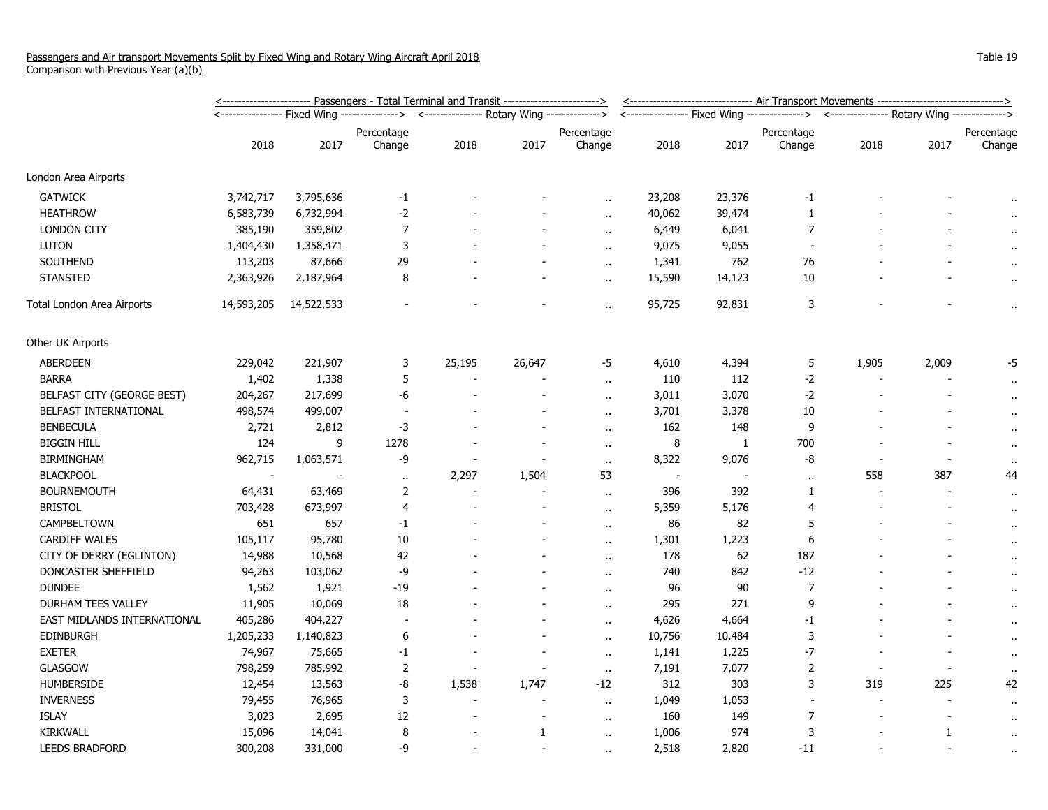|                             | <u>&lt;----------------------- Passengers - Total Terminal and Transit ------------------------&gt;</u> | <-------------------------------- Air Transport Movements -------------------------------> |                                                                  |        |                |                      |        |        |                |                                                                                          |                          |                      |
|-----------------------------|---------------------------------------------------------------------------------------------------------|--------------------------------------------------------------------------------------------|------------------------------------------------------------------|--------|----------------|----------------------|--------|--------|----------------|------------------------------------------------------------------------------------------|--------------------------|----------------------|
|                             |                                                                                                         |                                                                                            | <--------------- Rotary Wing -------------><br>----------------> |        |                |                      |        |        |                | <---------------- Fixed Wing --------------> <--------------- Rotary Wing -------------> |                          |                      |
|                             |                                                                                                         |                                                                                            | Percentage                                                       |        |                | Percentage           |        |        | Percentage     |                                                                                          |                          | Percentage           |
|                             | 2018                                                                                                    | 2017                                                                                       | Change                                                           | 2018   | 2017           | Change               | 2018   | 2017   | Change         | 2018                                                                                     | 2017                     | Change               |
| London Area Airports        |                                                                                                         |                                                                                            |                                                                  |        |                |                      |        |        |                |                                                                                          |                          |                      |
| <b>GATWICK</b>              | 3,742,717                                                                                               | 3,795,636                                                                                  | $-1$                                                             |        |                |                      | 23,208 | 23,376 | $-1$           |                                                                                          |                          |                      |
| <b>HEATHROW</b>             | 6,583,739                                                                                               | 6,732,994                                                                                  | $-2$                                                             |        |                |                      | 40,062 | 39,474 | 1              |                                                                                          |                          | $\cdot$              |
| <b>LONDON CITY</b>          | 385,190                                                                                                 | 359,802                                                                                    | $\boldsymbol{7}$                                                 |        |                | $\ddotsc$            | 6,449  | 6,041  | $\overline{7}$ |                                                                                          |                          |                      |
| <b>LUTON</b>                | 1,404,430                                                                                               | 1,358,471                                                                                  | 3                                                                |        |                | $\ddot{\phantom{a}}$ | 9,075  | 9,055  | $\sim$         |                                                                                          |                          |                      |
| SOUTHEND                    | 113,203                                                                                                 | 87,666                                                                                     | 29                                                               |        |                | $\ddot{\phantom{a}}$ | 1,341  | 762    | 76             |                                                                                          |                          | $\bullet$ .          |
| <b>STANSTED</b>             | 2,363,926                                                                                               | 2,187,964                                                                                  | 8                                                                |        |                | $\alpha$             | 15,590 | 14,123 | 10             |                                                                                          |                          | $\alpha$             |
| Total London Area Airports  | 14,593,205                                                                                              | 14,522,533                                                                                 |                                                                  |        |                | $\ddot{\phantom{a}}$ | 95,725 | 92,831 | 3              |                                                                                          |                          | $\ddot{\phantom{1}}$ |
| Other UK Airports           |                                                                                                         |                                                                                            |                                                                  |        |                |                      |        |        |                |                                                                                          |                          |                      |
| ABERDEEN                    | 229,042                                                                                                 | 221,907                                                                                    | 3                                                                | 25,195 | 26,647         | -5                   | 4,610  | 4,394  | 5              | 1,905                                                                                    | 2,009                    | -5                   |
| <b>BARRA</b>                | 1,402                                                                                                   | 1,338                                                                                      | 5                                                                |        |                | $\ddot{\phantom{a}}$ | 110    | 112    | $-2$           |                                                                                          |                          | $\cdot$              |
| BELFAST CITY (GEORGE BEST)  | 204,267                                                                                                 | 217,699                                                                                    | -6                                                               |        |                |                      | 3,011  | 3,070  | $-2$           |                                                                                          |                          | $\alpha$             |
| BELFAST INTERNATIONAL       | 498,574                                                                                                 | 499,007                                                                                    |                                                                  |        |                | $\ddot{\phantom{a}}$ | 3,701  | 3,378  | 10             |                                                                                          |                          | $\alpha$             |
| <b>BENBECULA</b>            | 2,721                                                                                                   | 2,812                                                                                      | $-3$                                                             |        |                | $\ddot{\phantom{a}}$ | 162    | 148    | 9              |                                                                                          |                          | $\cdot$ .            |
| <b>BIGGIN HILL</b>          | 124                                                                                                     | 9                                                                                          | 1278                                                             |        | $\overline{a}$ | $\ddot{\phantom{a}}$ | 8      | 1      | 700            |                                                                                          |                          | $\alpha$             |
| <b>BIRMINGHAM</b>           | 962,715                                                                                                 | 1,063,571                                                                                  | -9                                                               |        |                | $\sim$               | 8,322  | 9,076  | -8             |                                                                                          |                          | $\sim$               |
| <b>BLACKPOOL</b>            |                                                                                                         |                                                                                            | $\alpha$                                                         | 2,297  | 1,504          | 53                   | $\sim$ |        | $\alpha$       | 558                                                                                      | 387                      | 44                   |
| <b>BOURNEMOUTH</b>          | 64,431                                                                                                  | 63,469                                                                                     | 2                                                                |        |                | $\ddot{\phantom{a}}$ | 396    | 392    | 1              | $\blacksquare$                                                                           |                          | $\bullet$            |
| <b>BRISTOL</b>              | 703,428                                                                                                 | 673,997                                                                                    | 4                                                                |        |                | $\alpha$ .           | 5,359  | 5,176  | $\overline{4}$ |                                                                                          |                          | $\alpha$             |
| CAMPBELTOWN                 | 651                                                                                                     | 657                                                                                        | $-1$                                                             |        |                | $\ddot{\phantom{1}}$ | 86     | 82     | 5              |                                                                                          |                          | $\cdot$ .            |
| <b>CARDIFF WALES</b>        | 105,117                                                                                                 | 95,780                                                                                     | 10                                                               |        |                | $\ddot{\phantom{a}}$ | 1,301  | 1,223  | 6              |                                                                                          |                          | $\bullet$            |
| CITY OF DERRY (EGLINTON)    | 14,988                                                                                                  | 10,568                                                                                     | 42                                                               |        |                | $\ddot{\phantom{a}}$ | 178    | 62     | 187            |                                                                                          |                          | $\alpha$             |
| DONCASTER SHEFFIELD         | 94,263                                                                                                  | 103,062                                                                                    | -9                                                               |        |                | $\ddot{\phantom{a}}$ | 740    | 842    | $-12$          |                                                                                          |                          | $\bullet$ .          |
| <b>DUNDEE</b>               | 1,562                                                                                                   | 1,921                                                                                      | $-19$                                                            |        |                | $\ddot{\phantom{a}}$ | 96     | 90     | $\overline{7}$ |                                                                                          |                          | $\mathbf{r}$ .       |
| <b>DURHAM TEES VALLEY</b>   | 11,905                                                                                                  | 10,069                                                                                     | 18                                                               |        |                | $\alpha$ .           | 295    | 271    | 9              |                                                                                          |                          | $\alpha$             |
| EAST MIDLANDS INTERNATIONAL | 405,286                                                                                                 | 404,227                                                                                    |                                                                  |        |                | $\ddot{\phantom{a}}$ | 4,626  | 4,664  | $-1$           |                                                                                          |                          | $\alpha$             |
| <b>EDINBURGH</b>            | 1,205,233                                                                                               | 1,140,823                                                                                  | 6                                                                |        |                | $\ddot{\phantom{a}}$ | 10,756 | 10,484 | 3              |                                                                                          |                          | $\bullet$            |
| <b>EXETER</b>               | 74,967                                                                                                  | 75,665                                                                                     | $-1$                                                             |        |                | $\ddot{\phantom{a}}$ | 1,141  | 1,225  | $-7$           |                                                                                          |                          | $\alpha$             |
| <b>GLASGOW</b>              | 798,259                                                                                                 | 785,992                                                                                    | $\overline{2}$                                                   |        | $\blacksquare$ | $\ddot{\phantom{a}}$ | 7,191  | 7,077  | $\overline{2}$ | $\blacksquare$                                                                           | $\overline{\phantom{a}}$ |                      |
| <b>HUMBERSIDE</b>           | 12,454                                                                                                  | 13,563                                                                                     | -8                                                               | 1,538  | 1,747          | $-12$                | 312    | 303    | 3              | 319                                                                                      | 225                      | 42                   |
| <b>INVERNESS</b>            | 79,455                                                                                                  | 76,965                                                                                     | 3                                                                |        |                | $\ddot{\phantom{a}}$ | 1,049  | 1,053  | $\blacksquare$ | $\blacksquare$                                                                           |                          | $\cdot$              |
| <b>ISLAY</b>                | 3,023                                                                                                   | 2,695                                                                                      | 12                                                               |        |                | $\ddot{\phantom{1}}$ | 160    | 149    | $\overline{7}$ |                                                                                          |                          | $\cdot$ .            |
| KIRKWALL                    | 15,096                                                                                                  | 14,041                                                                                     | 8                                                                |        | 1              | $\ddot{\phantom{a}}$ | 1,006  | 974    | 3              |                                                                                          | $\mathbf{1}$             | $\bullet$ .          |
| <b>LEEDS BRADFORD</b>       | 300,208                                                                                                 | 331,000                                                                                    | -9                                                               |        |                | $\ddotsc$            | 2,518  | 2,820  | $-11$          |                                                                                          |                          | $\bullet$ .          |